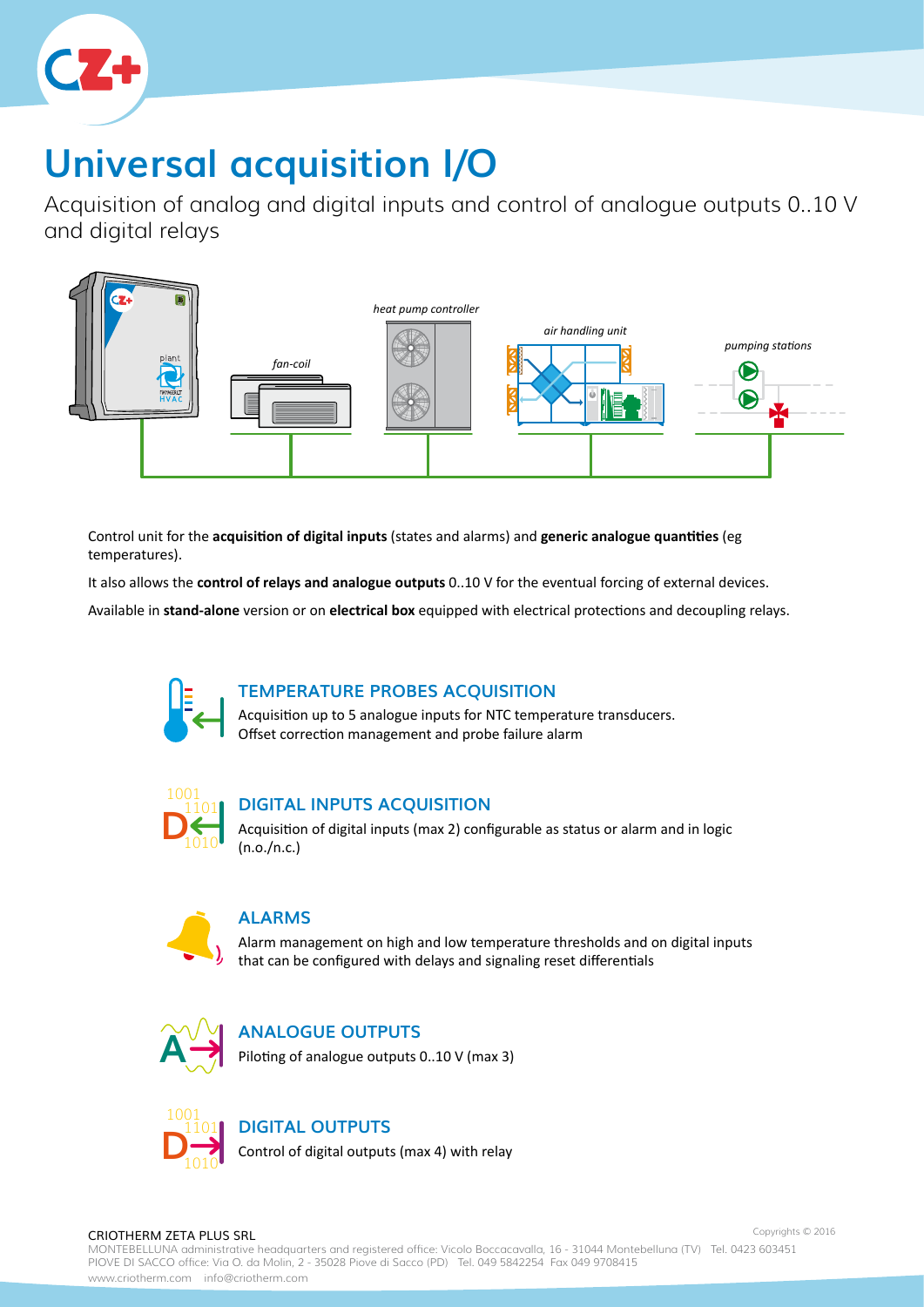

# **Universal acquisition I/O**

Acquisition of analog and digital inputs and control of analogue outputs 0..10 V and digital relays



Control unit for the **acquisition of digital inputs** (states and alarms) and **generic analogue quantities** (eg temperatures).

It also allows the **control of relays and analogue outputs** 0..10 V for the eventual forcing of external devices.

Available in **stand-alone** version or on **electrical box** equipped with electrical protections and decoupling relays.



# **TEMPERATURE PROBES ACQUISITION**

Acquisition up to 5 analogue inputs for NTC temperature transducers. Offset correction management and probe failure alarm



# **DIGITAL INPUTS ACQUISITION**

Acquisition of digital inputs (max 2) configurable as status or alarm and in logic (n.o./n.c.)



# **ALARMS**

Alarm management on high and low temperature thresholds and on digital inputs that can be configured with delays and signaling reset differentials



# **ANALOGUE OUTPUTS**

Piloting of analogue outputs 0..10 V (max 3)



### **DIGITAL OUTPUTS**

Control of digital outputs (max 4) with relay

#### CRIOTHERM ZETA PLUS SRL